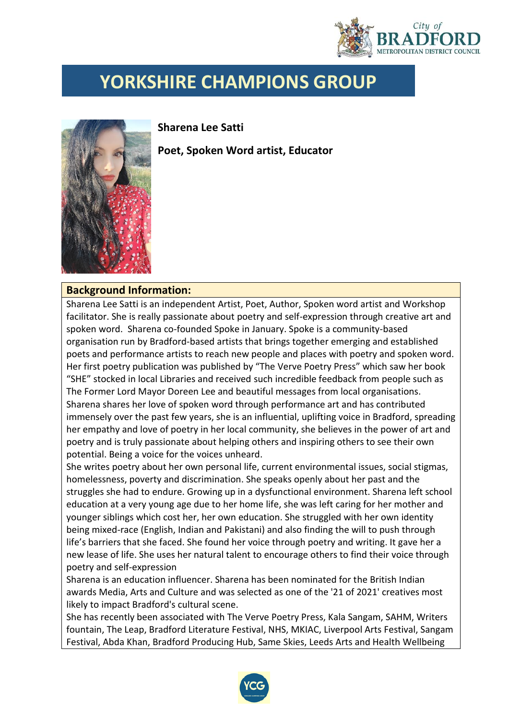

## **YORKSHIRE CHAMPIONS GROUP**



**Sharena Lee Satti**

**Poet, Spoken Word artist, Educator**

## **Background Information:**

Sharena Lee Satti is an independent Artist, Poet, Author, Spoken word artist and Workshop facilitator. She is really passionate about poetry and self-expression through creative art and spoken word. Sharena co-founded Spoke in January. Spoke is a community-based organisation run by Bradford-based artists that brings together emerging and established poets and performance artists to reach new people and places with poetry and spoken word. Her first poetry publication was published by "The Verve Poetry Press" which saw her book "SHE" stocked in local Libraries and received such incredible feedback from people such as The Former Lord Mayor Doreen Lee and beautiful messages from local organisations. Sharena shares her love of spoken word through performance art and has contributed immensely over the past few years, she is an influential, uplifting voice in Bradford, spreading her empathy and love of poetry in her local community, she believes in the power of art and poetry and is truly passionate about helping others and inspiring others to see their own potential. Being a voice for the voices unheard.

She writes poetry about her own personal life, current environmental issues, social stigmas, homelessness, poverty and discrimination. She speaks openly about her past and the struggles she had to endure. Growing up in a dysfunctional environment. Sharena left school education at a very young age due to her home life, she was left caring for her mother and younger siblings which cost her, her own education. She struggled with her own identity being mixed-race (English, Indian and Pakistani) and also finding the will to push through life's barriers that she faced. She found her voice through poetry and writing. It gave her a new lease of life. She uses her natural talent to encourage others to find their voice through poetry and self-expression

Sharena is an education influencer. Sharena has been nominated for the British Indian awards Media, Arts and Culture and was selected as one of the '21 of 2021' creatives most likely to impact Bradford's cultural scene.

She has recently been associated with The Verve Poetry Press, Kala Sangam, SAHM, Writers fountain, The Leap, Bradford Literature Festival, NHS, MKIAC, Liverpool Arts Festival, Sangam Festival, Abda Khan, Bradford Producing Hub, Same Skies, Leeds Arts and Health Wellbeing